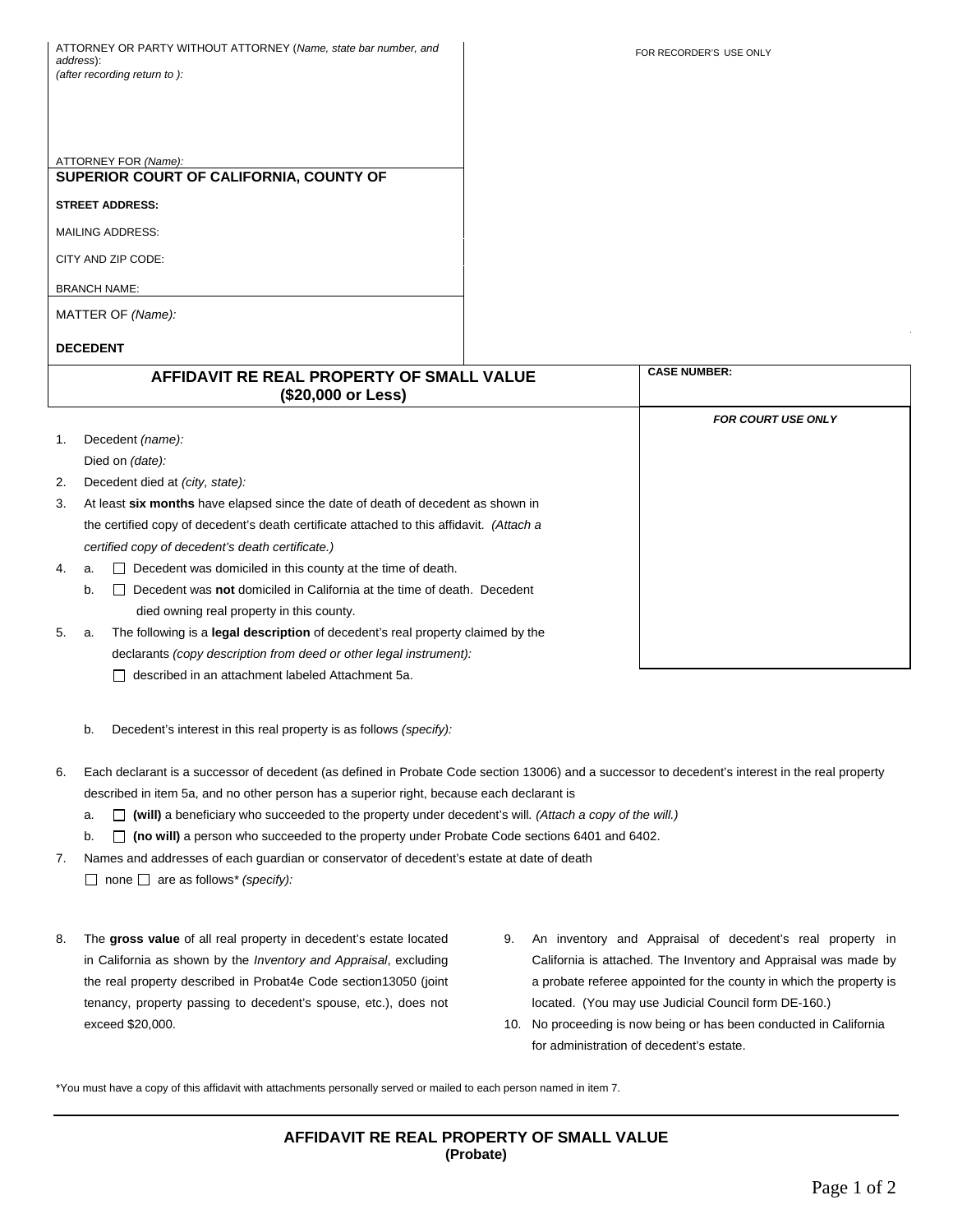ATTORNEY OR PARTY WITHOUT ATTORNEY (*Name, state bar number, and address*): *(after recording return to ):* 

ATTORNEY FOR *(Name):* **SUPERIOR COURT OF CALIFORNIA, COUNTY OF STREET ADDRESS:**  MAILING ADDRESS: CITY AND ZIP CODE: BRANCH NAME: MATTER OF *(Name):*

## **DECEDENT**

|    | AFFIDAVIT RE REAL PROPERTY OF SMALL VALUE<br>(\$20,000 or Less)                              | <b>CASE NUMBER:</b>       |
|----|----------------------------------------------------------------------------------------------|---------------------------|
|    |                                                                                              | <b>FOR COURT USE ONLY</b> |
| 1. | Decedent (name):                                                                             |                           |
|    | Died on (date):                                                                              |                           |
| 2. | Decedent died at <i>(city, state)</i> :                                                      |                           |
| 3. | At least six months have elapsed since the date of death of decedent as shown in             |                           |
|    | the certified copy of decedent's death certificate attached to this affidavit. (Attach a     |                           |
|    | certified copy of decedent's death certificate.)                                             |                           |
| 4. | Decedent was domiciled in this county at the time of death.<br>a.                            |                           |
|    | Decedent was <b>not</b> domiciled in California at the time of death. Decedent<br>b.         |                           |
|    | died owning real property in this county.                                                    |                           |
| 5. | The following is a <b>legal description</b> of decedent's real property claimed by the<br>а. |                           |
|    | declarants (copy description from deed or other legal instrument):                           |                           |
|    | described in an attachment labeled Attachment 5a.                                            |                           |

- b. Decedent's interest in this real property is as follows *(specify):*
- 6. Each declarant is a successor of decedent (as defined in Probate Code section 13006) and a successor to decedent's interest in the real property described in item 5a, and no other person has a superior right, because each declarant is
	- a.  $\Box$  (will) a beneficiary who succeeded to the property under decedent's will. (Attach a copy of the will.)
	- b. **□ (no will)** a person who succeeded to the property under Probate Code sections 6401 and 6402.
- 7. Names and addresses of each guardian or conservator of decedent's estate at date of death □ none □ are as follows<sup>\*</sup> (specify):
- 8. The **gross value** of all real property in decedent's estate located in California as shown by the *Inventory and Appraisal*, excluding the real property described in Probat4e Code section13050 (joint tenancy, property passing to decedent's spouse, etc.), does not exceed \$20,000.
- 9. An inventory and Appraisal of decedent's real property in California is attached. The Inventory and Appraisal was made by a probate referee appointed for the county in which the property is located. (You may use Judicial Council form DE-160.)
- 10. No proceeding is now being or has been conducted in California for administration of decedent's estate.

\*You must have a copy of this affidavit with attachments personally served or mailed to each person named in item 7.

**AFFIDAVIT RE REAL PROPERTY OF SMALL VALUE (Probate)**